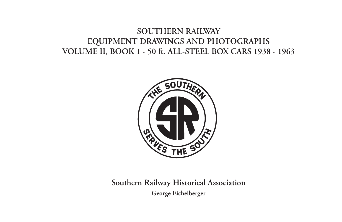# **SOUTHERN RAILWAY EQUIPMENT DRAWINGS AND PHOTOGRAPHS VOLUME II, BOOK 1 - 50 ft. ALL-STEEL BOX CARS 1938 - 1963**



**Southern Railway Historical Association George Eichelberger**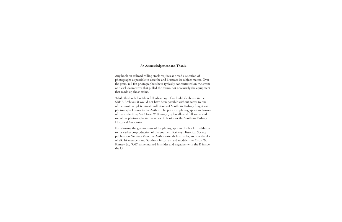#### **An Acknowledgement and Thanks**

Any book on railroad rolling stock requires as broad a selection of photographs as possible to describe and illustrate its subject matter. Over the years, rail fan photographers have typically concentrated on the steam or diesel locomotives that pulled the trains, not necessarily the equipment that made up those trains.

While this book has taken full advantage of carbuilder's photos in the SRHA Archives, it would not have been possible without access to one of the most complete private collections of Southern Railway freight car photographs known to the Author. The principal photographer and owner of that collection, Mr. Oscar W. Kimsey, Jr., has allowed full access and use of his photographs in this series of books for the Southern Railway Historical Association.

For allowing the generous use of his photographs in this book in addition to his earlier co-production of the Southern Railway Historical Society publication *Southern Rails*, the Author extends his thanks, and the thanks of SRHA members and Southern historians and modelers, to Oscar W. Kimsey, Jr., "OK" as he marked his slides and negatives with the K inside the O.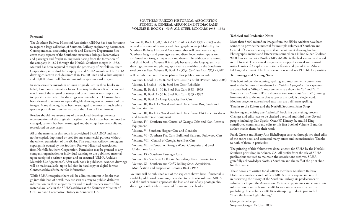#### **SOUTHERN RAILWAY HISTORICAL ASSOCIATION STENCIL & GENERAL ARRANGEMENT DIAGRAMS VOLUME II, BOOK 1 - 50 ft. ALL-STEEL BOX CARS 1938 - 1963**

#### **Foreword**

The Southern Railway Historical Association (SRHA) has been fortunate to acquire a large collection of Southern Railway engineering documents. Correspondence, accounting records and Executive Department files cover many aspects of the Southern's structures, bridges, locomotives and passenger and freight rolling stock dating from the formation of the company in 1894 through the Norfolk Southern merger in 1982. Material has been acquired through the generosity of Norfolk Southern Corporation, individual NS employees and SRHA members. The SRHA drawing collection includes more than 15,000 linen and vellum originals and 35,000 35mm roll film and microfilm aperture card images.

In some cases the microfilm or linen originals used in these books are faded, have poor contrast, or focus. This may be the result of the age and condition of the original drawings and other times it was simply due to operator error when the drawings were microfilmed. Drawings have been cleaned to remove or repair illegible drawing text or portions of the images. Many drawings have been rearranged to remove as much white space as possible to make better use of the 11 in. x 17 in. format.

Readers should not assume any of the enclosed drawings are exact representations of the originals. Illegible title blocks have been removed or changed, content has been rearranged and drawings have been split and reproduced on two pages.

All of the material in this book is copyrighted SRHA 2009 and may not be copied, duplicated or used for any commercial purpose without the written permission of the SRHA. The Southern Railway monogram copyright is owned by the Southern Railway Historical Association from Norfolk Southern Corporation. Permission may be granted to any company, organization or individual wanting to use published material upon receipt of a written request and an executed "SRHA Archives Materials Use Agreement". After each book is published, scanned drawings will be made available, up to full size, in hard copy or digital format. Contact archives@srha.net for information.

While SRHA recognizes there will be a limited interest in books that go into this level of detail, they are seen as a way to publish definitive information on their subject matter and to make readers aware of the material available in the SRHA's archives at the Kennesaw Museum of Civil War and Locomotive History in Kennesaw, GA.

Volume II, Book 1, *50 ft. ALL-STEEL BOX CARS 1938 - 1963***,** is the second of a series of drawing and photograph books published by the Southern Railway Historical Association that will cover every major Southern freight and passenger car and diesel locomotive type as well as Central of Georgia freight cars and diesels. The addition of a second and third book to Volume II is simply because of the large quantity of drawings, memos and photographs that are available on the Southern's steel box car fleet. Volume II, Book 2 - *50 ft. Steel Box Cars 1963 - 1982* will be published next. Books planned for publication include:

Volume. I, Book 1 - 40 ft. Steel Box Cars (As Built) (Printed, May 2004)

Volume. I, Book 2 - 40 ft. Steel Box Cars (Rebuilds)

Volume. II, Book 1 - 50 ft. Steel Box Cars 1938 - 1963

Volume. II, Book 2 - 50 ft. Steel Box Cars 1963 - 1982

Volume. II, Book 3 - Large Capacity Box Cars

Volume. III, Book 1 - Wood and Steel Underframe Box, Stock and Refrigerator Cars

Volume. III, Book 2 - Wood and Steel Underframe Flat Cars, Gondolas and Non-Revenue Equipment

Volume. IV - Southern and Central of Georgia Cabs and Non-Revenue Equipment

Volume. V - Southern Hopper Cars and Gondolas

Volume. VI - Southern Flat Cars, Bulkhead Flats and Pulpwood Cars

Volume. VII - Central of Georgia Steel Box Cars

Volume. VIII - Central of Georgia Wood, Composite and Steel Underframe Cars

Volume. IX - Southern Passenger Cars

Volume. X - Southern, CofG and Subsidiary Diesel Locomotives

Volume. XI - Southern and CofG Rolling Stock Acquisition, Modification and Disposition Records 1894 - 1982

Volumes will be published out of the sequence shown here. If material is available, additional books may be added to particular volumes. SRHA and the author would appreciate the loan and use of any photographs, drawings or other related material for use in these books.

#### **Technical and Production Notes**

More than 8,000 microfilm images from the SRHA Archives have been scanned to provide the material for multiple volumes of Southern and Central of Georgia Railway stencil and equipment drawing books. Photographs, memos and letters were scanned on a Nikon Super Coolscan 9000 film scanner or a Brother MFC-6490CW flat bed scanner and saved in .tiff format. The scanned images were cropped, cleaned and re-sized using Lemkesoft Graphic Converter software and placed in an Adobe InDesign document. The final version was saved as a PDF file for printing.

### **Terminology and Spelling Notes**

This book follows the naming, spelling and measurement conventions used in the Simmons Boardman *Car Builders' Cyclopedia*. Car capacities are described as "40-ton"; measurements are shown in "ft." and "in.". Words such as "center sill" are shown as two words but "carline" (framing from one side to the other that supports the roof) is a single word. Modern usage for non-railroad text may use a different spelling.

#### **Thanks to the Editors and the Norfolk Southern Print Shop**

Reviewing and editing any "technical" book is a painstaking process. Changes and edits have to be checked a second and third time. Several people, including Dan Sparks, Oscar W. Kimsey, Jr. and Ed King contributed comments and edits to this first book of Volume II and the author thanks them for their work.

Frank Greene and Sherry Ann Eichelberger assisted through two final edits of the entire book and corrected many errors and inconsistencies. Thanks to both of them in particular.

The printing of this Volume was done, at cost, for SRHA by the Norfolk Southern print shop in Atlanta, GA. All profits from the sale of SRHA publications are used to maintain the Association's archives. SRHA gratefully acknowledges Norfolk Southern and the staff of the print shop for their work.

These books are written for all SRHA members, Southern Railway Historians, modelers and rail fans. SRHA invites anyone interested in preserving the history of the Southern Railway, its predecessors or subsidiaries to join the Association. Membership, archives and convention information is available on the SRHA web site at www.srha.net. By publishing these volumes, SRHA is attempting to do its part to help "Keep the Green Light Shining".

George Eichelberger Smyrna Georgia, October 2009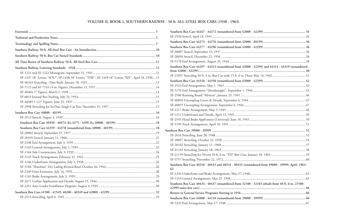## **VOLUME II, BOOK 1, SOUTHERN RAILWAY - 50 ft. ALL-STEEL BOX CARS (1938 - 1963)**

| SF-1437 18" Letters "SOU", SF-1438 18" Letters "THE", SF-1439 18" Letters "RN", April 18, 195813 |  |
|--------------------------------------------------------------------------------------------------|--|
|                                                                                                  |  |
|                                                                                                  |  |
|                                                                                                  |  |
|                                                                                                  |  |
|                                                                                                  |  |
|                                                                                                  |  |
|                                                                                                  |  |
|                                                                                                  |  |
|                                                                                                  |  |
|                                                                                                  |  |
|                                                                                                  |  |
|                                                                                                  |  |
|                                                                                                  |  |
|                                                                                                  |  |
|                                                                                                  |  |
|                                                                                                  |  |
|                                                                                                  |  |
|                                                                                                  |  |
|                                                                                                  |  |
|                                                                                                  |  |
|                                                                                                  |  |
|                                                                                                  |  |
|                                                                                                  |  |
|                                                                                                  |  |

| Southern Box Cars 44297 - 44313 (renumbered from 42000 - 42299) and 44314 - 44319 (renumbered        |  |
|------------------------------------------------------------------------------------------------------|--|
|                                                                                                      |  |
|                                                                                                      |  |
|                                                                                                      |  |
|                                                                                                      |  |
|                                                                                                      |  |
|                                                                                                      |  |
|                                                                                                      |  |
|                                                                                                      |  |
|                                                                                                      |  |
|                                                                                                      |  |
|                                                                                                      |  |
|                                                                                                      |  |
|                                                                                                      |  |
|                                                                                                      |  |
|                                                                                                      |  |
|                                                                                                      |  |
|                                                                                                      |  |
|                                                                                                      |  |
| Southern Box Cars 40250 - 40433 and 40334 - 40433 (renumbered from 39000 - 39999, April, 1961)<br>62 |  |
|                                                                                                      |  |
|                                                                                                      |  |
| Southern Box Cars 40434 - 40437 (renumbered from 32100 - 32103 rebuilt from 40 ft. 6 in. 21500 -     |  |
|                                                                                                      |  |
|                                                                                                      |  |
|                                                                                                      |  |
|                                                                                                      |  |